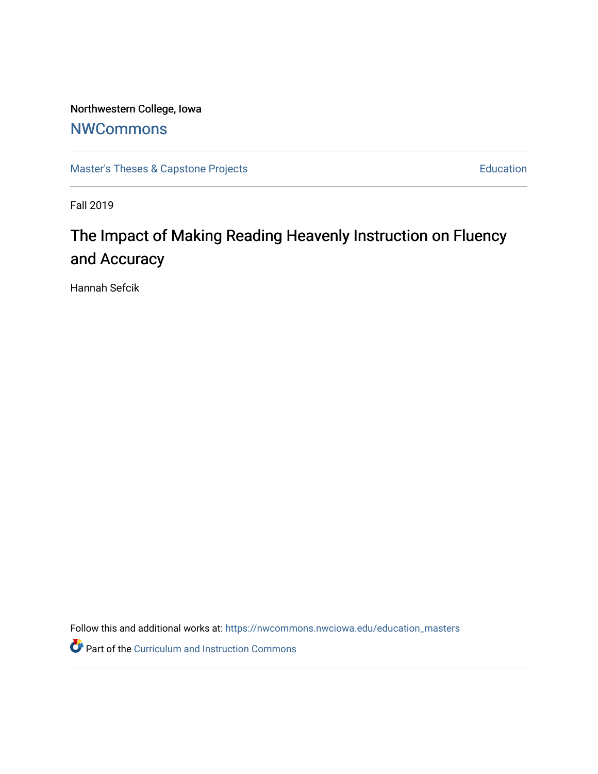Northwestern College, Iowa

## **[NWCommons](https://nwcommons.nwciowa.edu/)**

[Master's Theses & Capstone Projects](https://nwcommons.nwciowa.edu/education_masters) **Education** Education

Fall 2019

# The Impact of Making Reading Heavenly Instruction on Fluency and Accuracy

Hannah Sefcik

Follow this and additional works at: [https://nwcommons.nwciowa.edu/education\\_masters](https://nwcommons.nwciowa.edu/education_masters?utm_source=nwcommons.nwciowa.edu%2Feducation_masters%2F175&utm_medium=PDF&utm_campaign=PDFCoverPages)

Part of the [Curriculum and Instruction Commons](http://network.bepress.com/hgg/discipline/786?utm_source=nwcommons.nwciowa.edu%2Feducation_masters%2F175&utm_medium=PDF&utm_campaign=PDFCoverPages)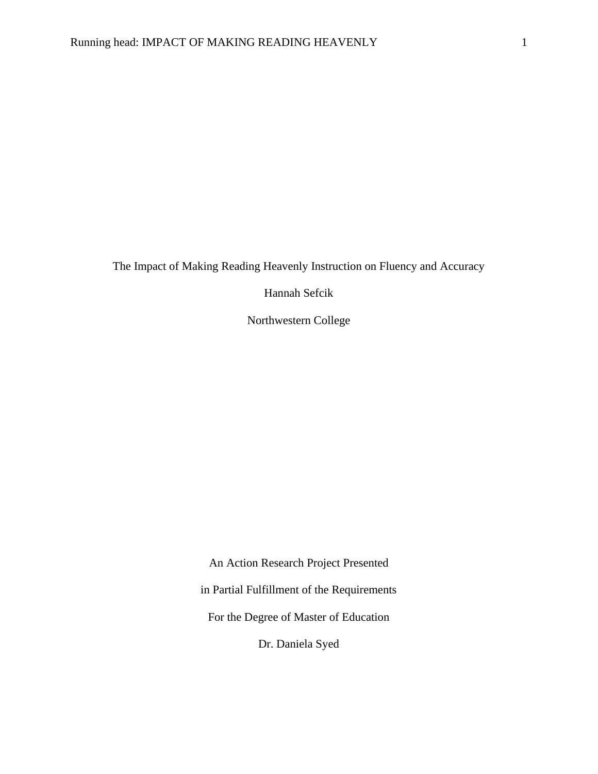The Impact of Making Reading Heavenly Instruction on Fluency and Accuracy

Hannah Sefcik

Northwestern College

An Action Research Project Presented in Partial Fulfillment of the Requirements For the Degree of Master of Education Dr. Daniela Syed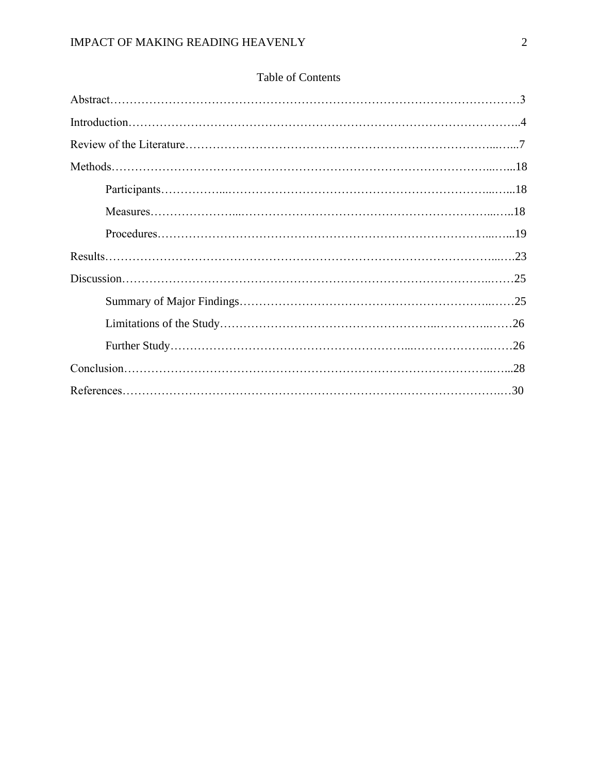## Table of Contents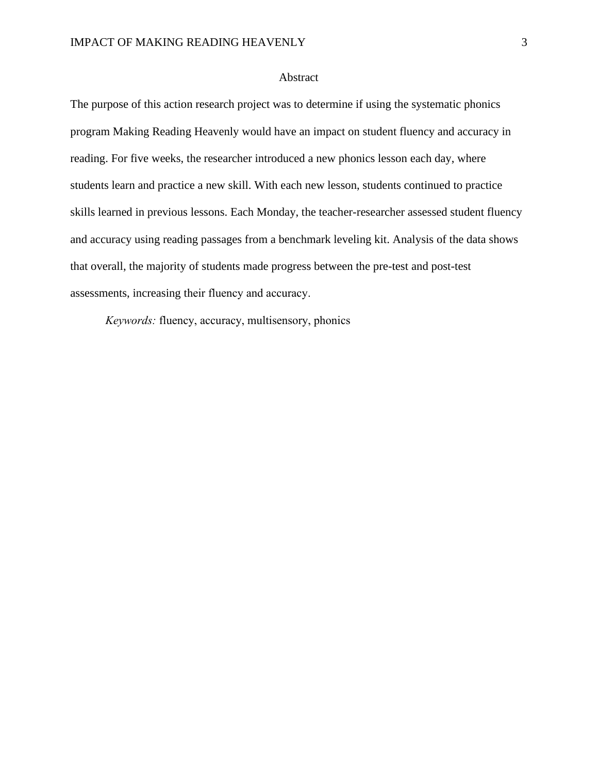#### Abstract

The purpose of this action research project was to determine if using the systematic phonics program Making Reading Heavenly would have an impact on student fluency and accuracy in reading. For five weeks, the researcher introduced a new phonics lesson each day, where students learn and practice a new skill. With each new lesson, students continued to practice skills learned in previous lessons. Each Monday, the teacher-researcher assessed student fluency and accuracy using reading passages from a benchmark leveling kit. Analysis of the data shows that overall, the majority of students made progress between the pre-test and post-test assessments, increasing their fluency and accuracy.

*Keywords:* fluency, accuracy, multisensory, phonics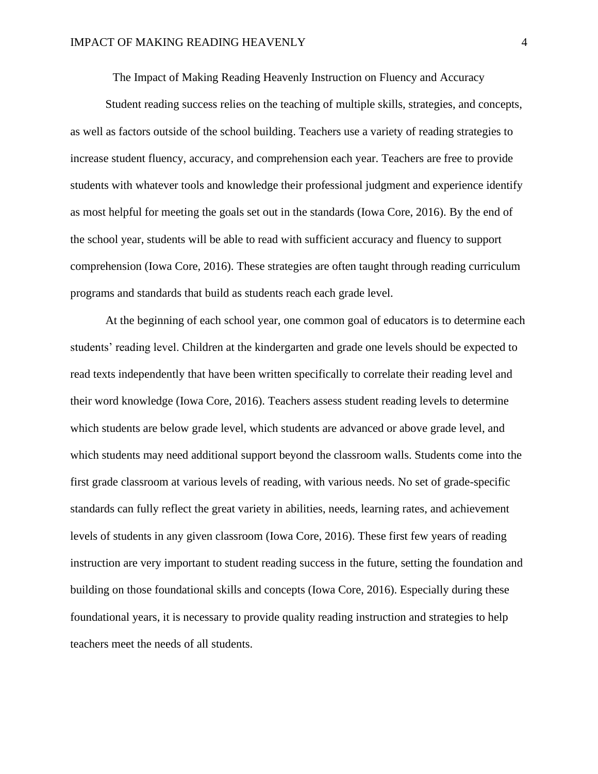The Impact of Making Reading Heavenly Instruction on Fluency and Accuracy

Student reading success relies on the teaching of multiple skills, strategies, and concepts, as well as factors outside of the school building. Teachers use a variety of reading strategies to increase student fluency, accuracy, and comprehension each year. Teachers are free to provide students with whatever tools and knowledge their professional judgment and experience identify as most helpful for meeting the goals set out in the standards (Iowa Core, 2016). By the end of the school year, students will be able to read with sufficient accuracy and fluency to support comprehension (Iowa Core, 2016). These strategies are often taught through reading curriculum programs and standards that build as students reach each grade level.

At the beginning of each school year, one common goal of educators is to determine each students' reading level. Children at the kindergarten and grade one levels should be expected to read texts independently that have been written specifically to correlate their reading level and their word knowledge (Iowa Core, 2016). Teachers assess student reading levels to determine which students are below grade level, which students are advanced or above grade level, and which students may need additional support beyond the classroom walls. Students come into the first grade classroom at various levels of reading, with various needs. No set of grade-specific standards can fully reflect the great variety in abilities, needs, learning rates, and achievement levels of students in any given classroom (Iowa Core, 2016). These first few years of reading instruction are very important to student reading success in the future, setting the foundation and building on those foundational skills and concepts (Iowa Core, 2016). Especially during these foundational years, it is necessary to provide quality reading instruction and strategies to help teachers meet the needs of all students.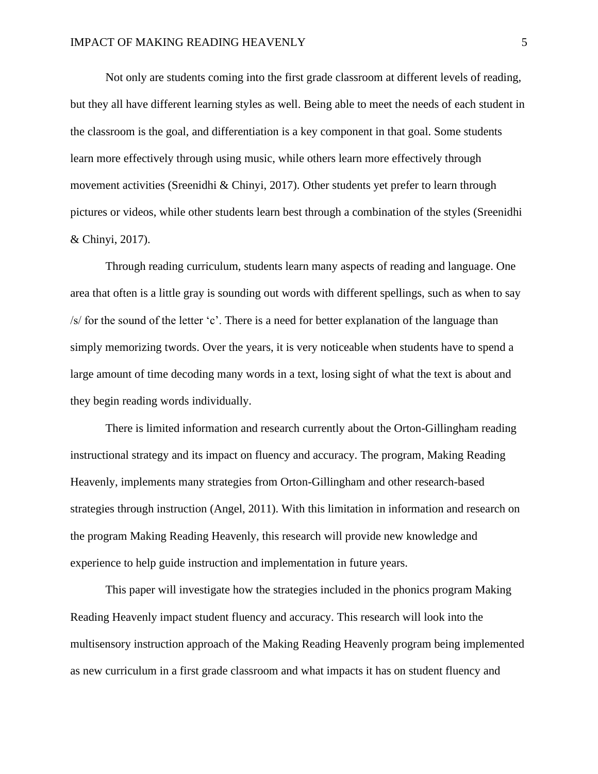Not only are students coming into the first grade classroom at different levels of reading, but they all have different learning styles as well. Being able to meet the needs of each student in the classroom is the goal, and differentiation is a key component in that goal. Some students learn more effectively through using music, while others learn more effectively through movement activities (Sreenidhi & Chinyi, 2017). Other students yet prefer to learn through pictures or videos, while other students learn best through a combination of the styles (Sreenidhi & Chinyi, 2017).

Through reading curriculum, students learn many aspects of reading and language. One area that often is a little gray is sounding out words with different spellings, such as when to say /s/ for the sound of the letter 'c'. There is a need for better explanation of the language than simply memorizing twords. Over the years, it is very noticeable when students have to spend a large amount of time decoding many words in a text, losing sight of what the text is about and they begin reading words individually.

There is limited information and research currently about the Orton-Gillingham reading instructional strategy and its impact on fluency and accuracy. The program, Making Reading Heavenly, implements many strategies from Orton-Gillingham and other research-based strategies through instruction (Angel, 2011). With this limitation in information and research on the program Making Reading Heavenly, this research will provide new knowledge and experience to help guide instruction and implementation in future years.

This paper will investigate how the strategies included in the phonics program Making Reading Heavenly impact student fluency and accuracy. This research will look into the multisensory instruction approach of the Making Reading Heavenly program being implemented as new curriculum in a first grade classroom and what impacts it has on student fluency and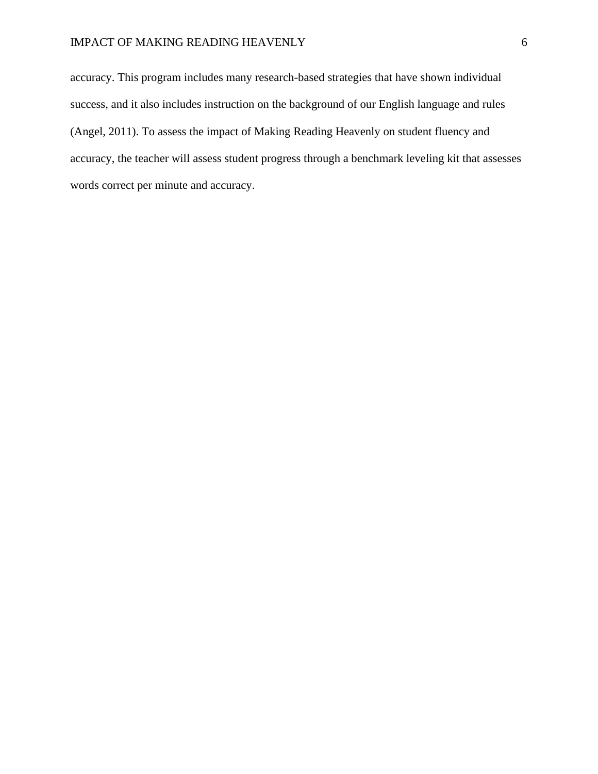## IMPACT OF MAKING READING HEAVENLY 6

accuracy. This program includes many research-based strategies that have shown individual success, and it also includes instruction on the background of our English language and rules (Angel, 2011). To assess the impact of Making Reading Heavenly on student fluency and accuracy, the teacher will assess student progress through a benchmark leveling kit that assesses words correct per minute and accuracy.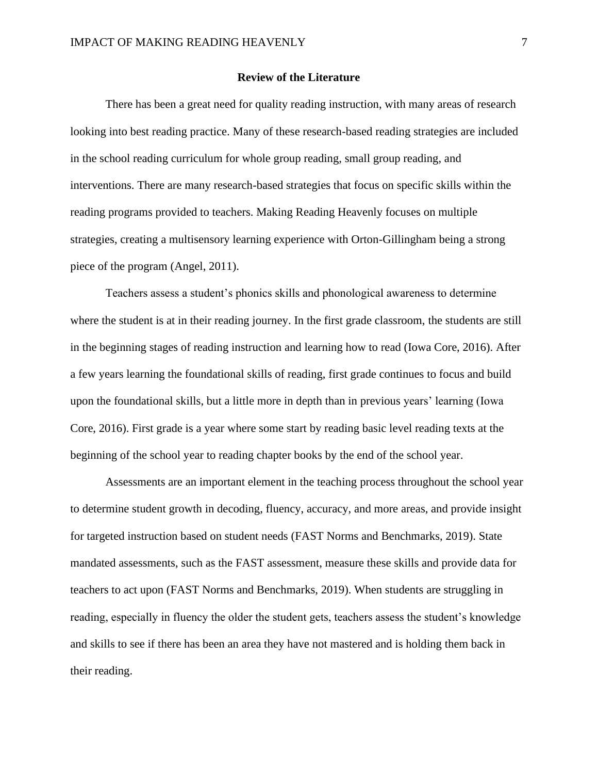#### **Review of the Literature**

There has been a great need for quality reading instruction, with many areas of research looking into best reading practice. Many of these research-based reading strategies are included in the school reading curriculum for whole group reading, small group reading, and interventions. There are many research-based strategies that focus on specific skills within the reading programs provided to teachers. Making Reading Heavenly focuses on multiple strategies, creating a multisensory learning experience with Orton-Gillingham being a strong piece of the program (Angel, 2011).

Teachers assess a student's phonics skills and phonological awareness to determine where the student is at in their reading journey. In the first grade classroom, the students are still in the beginning stages of reading instruction and learning how to read (Iowa Core, 2016). After a few years learning the foundational skills of reading, first grade continues to focus and build upon the foundational skills, but a little more in depth than in previous years' learning (Iowa Core, 2016). First grade is a year where some start by reading basic level reading texts at the beginning of the school year to reading chapter books by the end of the school year.

Assessments are an important element in the teaching process throughout the school year to determine student growth in decoding, fluency, accuracy, and more areas, and provide insight for targeted instruction based on student needs (FAST Norms and Benchmarks, 2019). State mandated assessments, such as the FAST assessment, measure these skills and provide data for teachers to act upon (FAST Norms and Benchmarks, 2019). When students are struggling in reading, especially in fluency the older the student gets, teachers assess the student's knowledge and skills to see if there has been an area they have not mastered and is holding them back in their reading.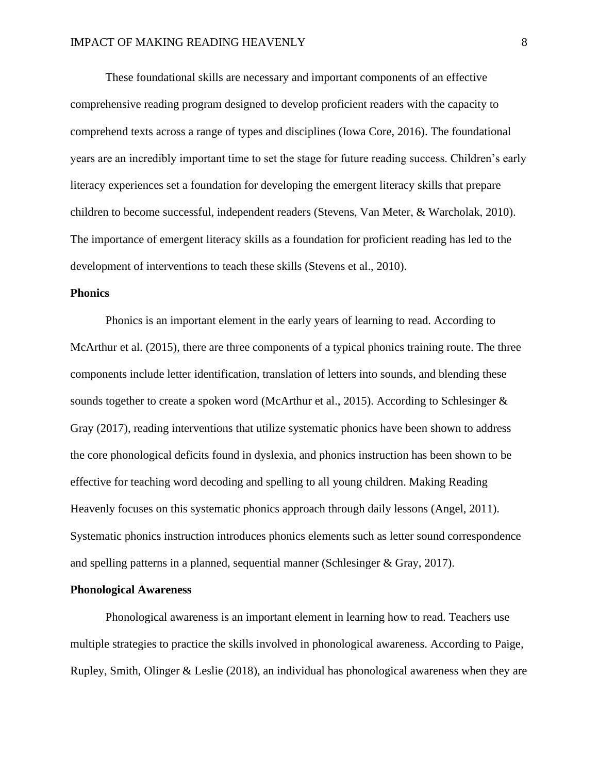These foundational skills are necessary and important components of an effective comprehensive reading program designed to develop proficient readers with the capacity to comprehend texts across a range of types and disciplines (Iowa Core, 2016). The foundational years are an incredibly important time to set the stage for future reading success. Children's early literacy experiences set a foundation for developing the emergent literacy skills that prepare children to become successful, independent readers (Stevens, Van Meter, & Warcholak, 2010). The importance of emergent literacy skills as a foundation for proficient reading has led to the development of interventions to teach these skills (Stevens et al., 2010).

### **Phonics**

Phonics is an important element in the early years of learning to read. According to McArthur et al. (2015), there are three components of a typical phonics training route. The three components include letter identification, translation of letters into sounds, and blending these sounds together to create a spoken word (McArthur et al., 2015). According to Schlesinger & Gray (2017), reading interventions that utilize systematic phonics have been shown to address the core phonological deficits found in dyslexia, and phonics instruction has been shown to be effective for teaching word decoding and spelling to all young children. Making Reading Heavenly focuses on this systematic phonics approach through daily lessons (Angel, 2011). Systematic phonics instruction introduces phonics elements such as letter sound correspondence and spelling patterns in a planned, sequential manner (Schlesinger & Gray, 2017).

#### **Phonological Awareness**

Phonological awareness is an important element in learning how to read. Teachers use multiple strategies to practice the skills involved in phonological awareness. According to Paige, Rupley, Smith, Olinger & Leslie (2018), an individual has phonological awareness when they are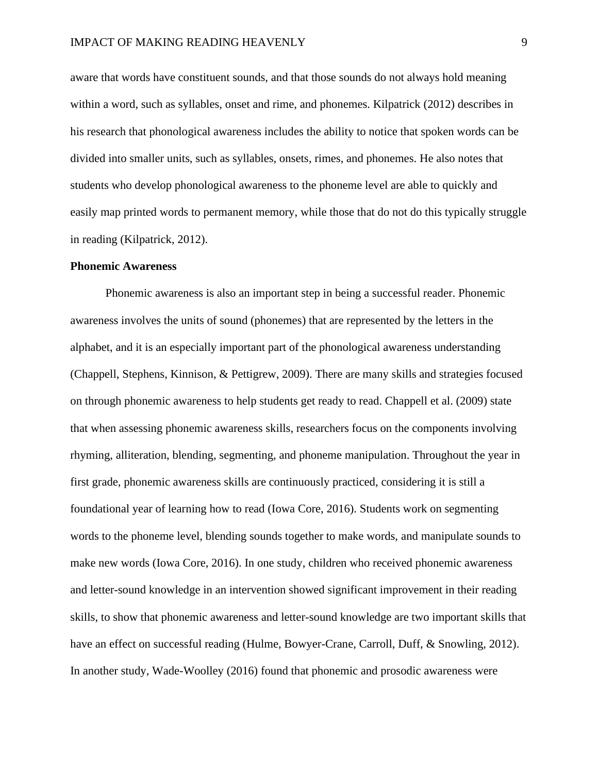aware that words have constituent sounds, and that those sounds do not always hold meaning within a word, such as syllables, onset and rime, and phonemes. Kilpatrick (2012) describes in his research that phonological awareness includes the ability to notice that spoken words can be divided into smaller units, such as syllables, onsets, rimes, and phonemes. He also notes that students who develop phonological awareness to the phoneme level are able to quickly and easily map printed words to permanent memory, while those that do not do this typically struggle in reading (Kilpatrick, 2012).

#### **Phonemic Awareness**

Phonemic awareness is also an important step in being a successful reader. Phonemic awareness involves the units of sound (phonemes) that are represented by the letters in the alphabet, and it is an especially important part of the phonological awareness understanding (Chappell, Stephens, Kinnison, & Pettigrew, 2009). There are many skills and strategies focused on through phonemic awareness to help students get ready to read. Chappell et al. (2009) state that when assessing phonemic awareness skills, researchers focus on the components involving rhyming, alliteration, blending, segmenting, and phoneme manipulation. Throughout the year in first grade, phonemic awareness skills are continuously practiced, considering it is still a foundational year of learning how to read (Iowa Core, 2016). Students work on segmenting words to the phoneme level, blending sounds together to make words, and manipulate sounds to make new words (Iowa Core, 2016). In one study, children who received phonemic awareness and letter-sound knowledge in an intervention showed significant improvement in their reading skills, to show that phonemic awareness and letter-sound knowledge are two important skills that have an effect on successful reading (Hulme, Bowyer-Crane, Carroll, Duff, & Snowling, 2012). In another study, Wade-Woolley (2016) found that phonemic and prosodic awareness were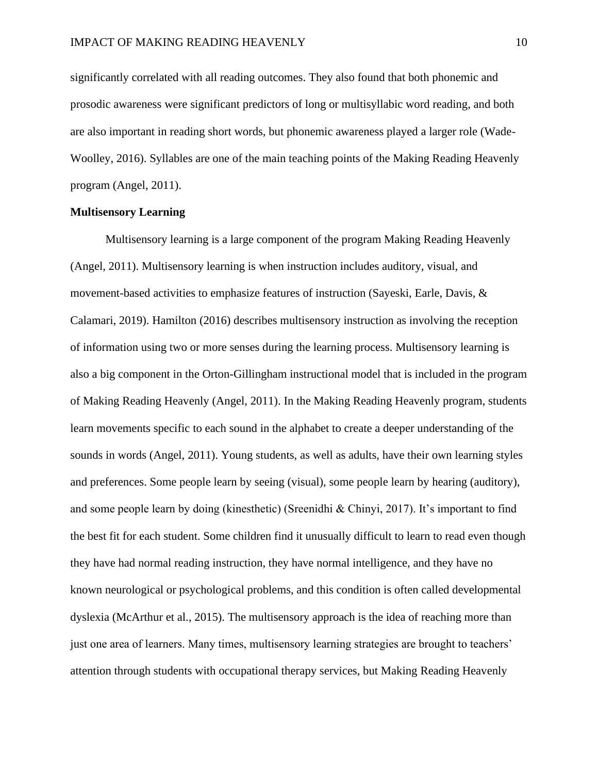significantly correlated with all reading outcomes. They also found that both phonemic and prosodic awareness were significant predictors of long or multisyllabic word reading, and both are also important in reading short words, but phonemic awareness played a larger role (Wade-Woolley, 2016). Syllables are one of the main teaching points of the Making Reading Heavenly program (Angel, 2011).

## **Multisensory Learning**

Multisensory learning is a large component of the program Making Reading Heavenly (Angel, 2011). Multisensory learning is when instruction includes auditory, visual, and movement-based activities to emphasize features of instruction (Sayeski, Earle, Davis, & Calamari, 2019). Hamilton (2016) describes multisensory instruction as involving the reception of information using two or more senses during the learning process. Multisensory learning is also a big component in the Orton-Gillingham instructional model that is included in the program of Making Reading Heavenly (Angel, 2011). In the Making Reading Heavenly program, students learn movements specific to each sound in the alphabet to create a deeper understanding of the sounds in words (Angel, 2011). Young students, as well as adults, have their own learning styles and preferences. Some people learn by seeing (visual), some people learn by hearing (auditory), and some people learn by doing (kinesthetic) (Sreenidhi & Chinyi, 2017). It's important to find the best fit for each student. Some children find it unusually difficult to learn to read even though they have had normal reading instruction, they have normal intelligence, and they have no known neurological or psychological problems, and this condition is often called developmental dyslexia (McArthur et al., 2015). The multisensory approach is the idea of reaching more than just one area of learners. Many times, multisensory learning strategies are brought to teachers' attention through students with occupational therapy services, but Making Reading Heavenly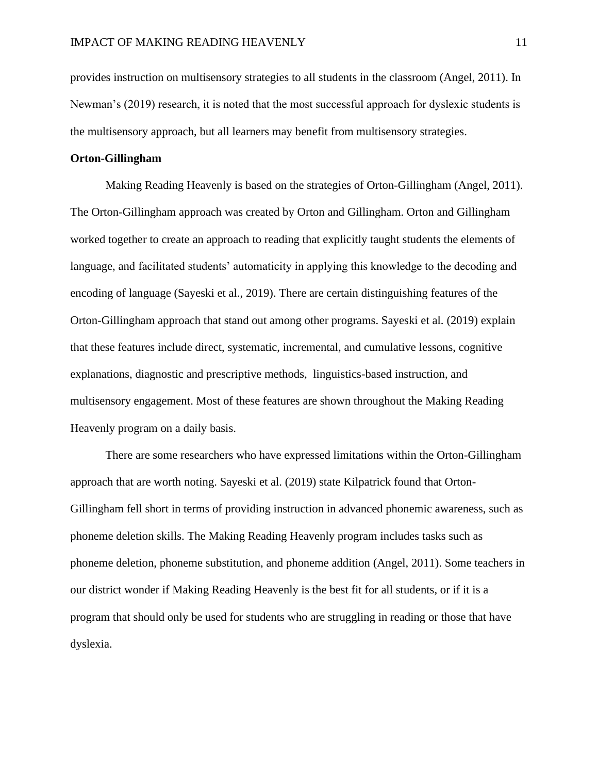provides instruction on multisensory strategies to all students in the classroom (Angel, 2011). In Newman's (2019) research, it is noted that the most successful approach for dyslexic students is the multisensory approach, but all learners may benefit from multisensory strategies.

#### **Orton-Gillingham**

Making Reading Heavenly is based on the strategies of Orton-Gillingham (Angel, 2011). The Orton-Gillingham approach was created by Orton and Gillingham. Orton and Gillingham worked together to create an approach to reading that explicitly taught students the elements of language, and facilitated students' automaticity in applying this knowledge to the decoding and encoding of language (Sayeski et al., 2019). There are certain distinguishing features of the Orton-Gillingham approach that stand out among other programs. Sayeski et al. (2019) explain that these features include direct, systematic, incremental, and cumulative lessons, cognitive explanations, diagnostic and prescriptive methods, linguistics-based instruction, and multisensory engagement. Most of these features are shown throughout the Making Reading Heavenly program on a daily basis.

There are some researchers who have expressed limitations within the Orton-Gillingham approach that are worth noting. Sayeski et al. (2019) state Kilpatrick found that Orton-Gillingham fell short in terms of providing instruction in advanced phonemic awareness, such as phoneme deletion skills. The Making Reading Heavenly program includes tasks such as phoneme deletion, phoneme substitution, and phoneme addition (Angel, 2011). Some teachers in our district wonder if Making Reading Heavenly is the best fit for all students, or if it is a program that should only be used for students who are struggling in reading or those that have dyslexia.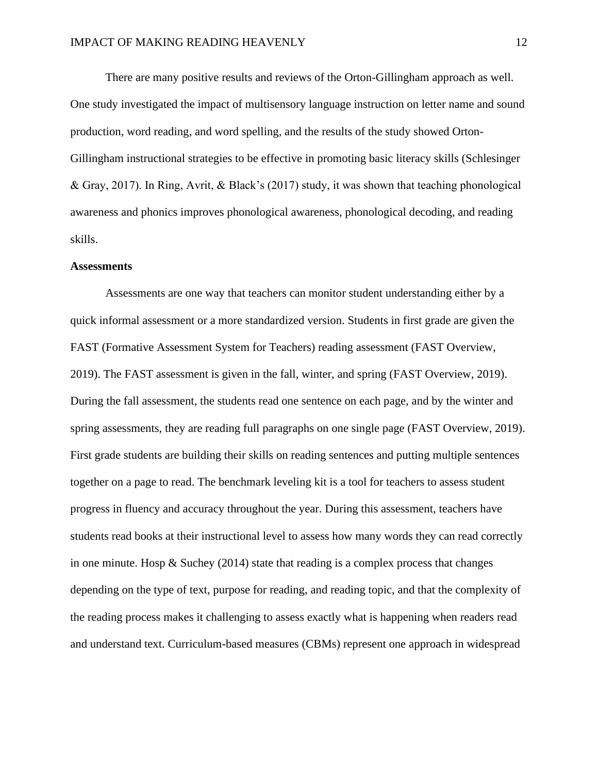There are many positive results and reviews of the Orton-Gillingham approach as well. One study investigated the impact of multisensory language instruction on letter name and sound production, word reading, and word spelling, and the results of the study showed Orton-Gillingham instructional strategies to be effective in promoting basic literacy skills (Schlesinger & Gray, 2017). In Ring, Avrit, & Black's (2017) study, it was shown that teaching phonological awareness and phonics improves phonological awareness, phonological decoding, and reading skills.

#### **Assessments**

Assessments are one way that teachers can monitor student understanding either by a quick informal assessment or a more standardized version. Students in first grade are given the FAST (Formative Assessment System for Teachers) reading assessment (FAST Overview, 2019). The FAST assessment is given in the fall, winter, and spring (FAST Overview, 2019). During the fall assessment, the students read one sentence on each page, and by the winter and spring assessments, they are reading full paragraphs on one single page (FAST Overview, 2019). First grade students are building their skills on reading sentences and putting multiple sentences together on a page to read. The benchmark leveling kit is a tool for teachers to assess student progress in fluency and accuracy throughout the year. During this assessment, teachers have students read books at their instructional level to assess how many words they can read correctly in one minute. Hosp  $\&$  Suchey (2014) state that reading is a complex process that changes depending on the type of text, purpose for reading, and reading topic, and that the complexity of the reading process makes it challenging to assess exactly what is happening when readers read and understand text. Curriculum-based measures (CBMs) represent one approach in widespread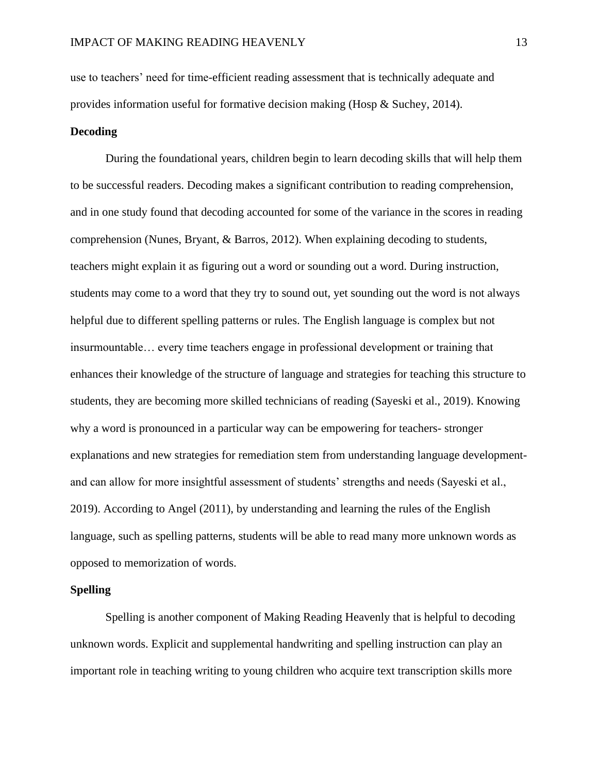use to teachers' need for time-efficient reading assessment that is technically adequate and provides information useful for formative decision making (Hosp & Suchey, 2014).

## **Decoding**

During the foundational years, children begin to learn decoding skills that will help them to be successful readers. Decoding makes a significant contribution to reading comprehension, and in one study found that decoding accounted for some of the variance in the scores in reading comprehension (Nunes, Bryant, & Barros, 2012). When explaining decoding to students, teachers might explain it as figuring out a word or sounding out a word. During instruction, students may come to a word that they try to sound out, yet sounding out the word is not always helpful due to different spelling patterns or rules. The English language is complex but not insurmountable… every time teachers engage in professional development or training that enhances their knowledge of the structure of language and strategies for teaching this structure to students, they are becoming more skilled technicians of reading (Sayeski et al., 2019). Knowing why a word is pronounced in a particular way can be empowering for teachers- stronger explanations and new strategies for remediation stem from understanding language developmentand can allow for more insightful assessment of students' strengths and needs (Sayeski et al., 2019). According to Angel (2011), by understanding and learning the rules of the English language, such as spelling patterns, students will be able to read many more unknown words as opposed to memorization of words.

### **Spelling**

Spelling is another component of Making Reading Heavenly that is helpful to decoding unknown words. Explicit and supplemental handwriting and spelling instruction can play an important role in teaching writing to young children who acquire text transcription skills more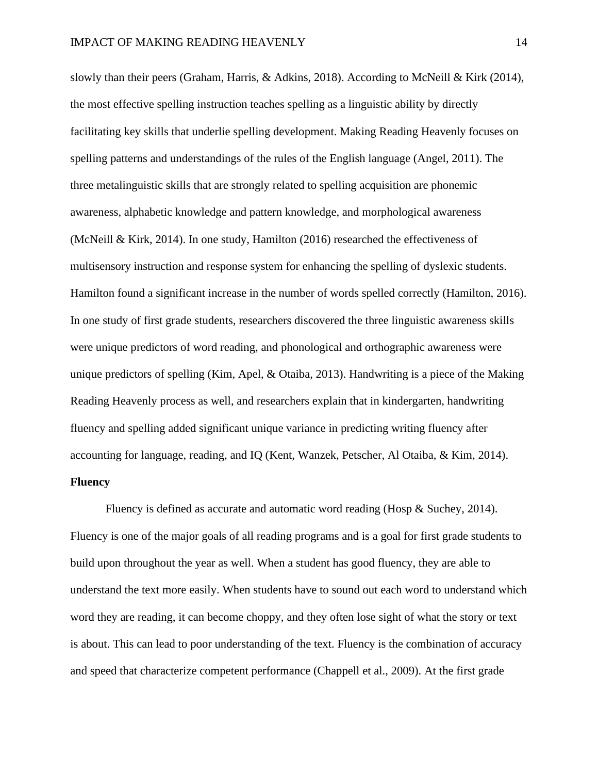slowly than their peers (Graham, Harris, & Adkins, 2018). According to McNeill & Kirk (2014), the most effective spelling instruction teaches spelling as a linguistic ability by directly facilitating key skills that underlie spelling development. Making Reading Heavenly focuses on spelling patterns and understandings of the rules of the English language (Angel, 2011). The three metalinguistic skills that are strongly related to spelling acquisition are phonemic awareness, alphabetic knowledge and pattern knowledge, and morphological awareness (McNeill & Kirk, 2014). In one study, Hamilton (2016) researched the effectiveness of multisensory instruction and response system for enhancing the spelling of dyslexic students. Hamilton found a significant increase in the number of words spelled correctly (Hamilton, 2016). In one study of first grade students, researchers discovered the three linguistic awareness skills were unique predictors of word reading, and phonological and orthographic awareness were unique predictors of spelling (Kim, Apel, & Otaiba, 2013). Handwriting is a piece of the Making Reading Heavenly process as well, and researchers explain that in kindergarten, handwriting fluency and spelling added significant unique variance in predicting writing fluency after accounting for language, reading, and IQ (Kent, Wanzek, Petscher, Al Otaiba, & Kim, 2014). **Fluency**

Fluency is defined as accurate and automatic word reading (Hosp & Suchey, 2014). Fluency is one of the major goals of all reading programs and is a goal for first grade students to build upon throughout the year as well. When a student has good fluency, they are able to understand the text more easily. When students have to sound out each word to understand which word they are reading, it can become choppy, and they often lose sight of what the story or text is about. This can lead to poor understanding of the text. Fluency is the combination of accuracy and speed that characterize competent performance (Chappell et al., 2009). At the first grade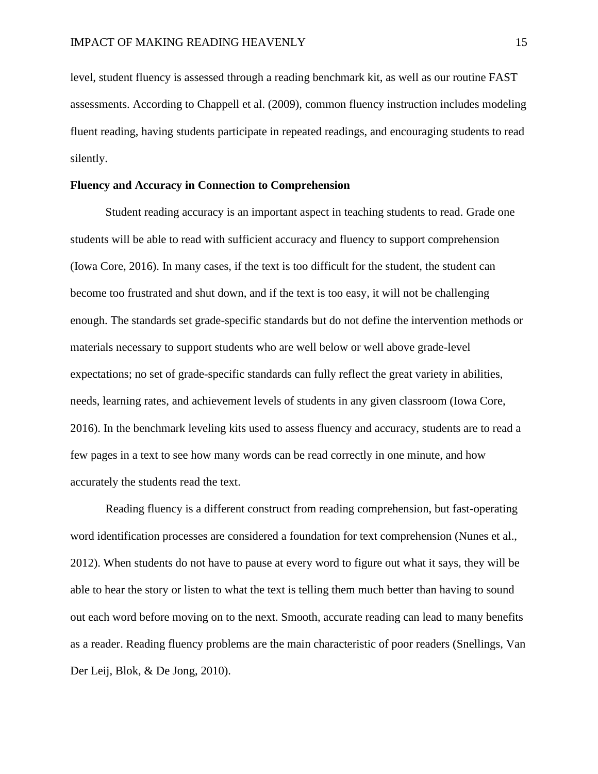level, student fluency is assessed through a reading benchmark kit, as well as our routine FAST assessments. According to Chappell et al. (2009), common fluency instruction includes modeling fluent reading, having students participate in repeated readings, and encouraging students to read silently.

#### **Fluency and Accuracy in Connection to Comprehension**

Student reading accuracy is an important aspect in teaching students to read. Grade one students will be able to read with sufficient accuracy and fluency to support comprehension (Iowa Core, 2016). In many cases, if the text is too difficult for the student, the student can become too frustrated and shut down, and if the text is too easy, it will not be challenging enough. The standards set grade-specific standards but do not define the intervention methods or materials necessary to support students who are well below or well above grade-level expectations; no set of grade-specific standards can fully reflect the great variety in abilities, needs, learning rates, and achievement levels of students in any given classroom (Iowa Core, 2016). In the benchmark leveling kits used to assess fluency and accuracy, students are to read a few pages in a text to see how many words can be read correctly in one minute, and how accurately the students read the text.

Reading fluency is a different construct from reading comprehension, but fast-operating word identification processes are considered a foundation for text comprehension (Nunes et al., 2012). When students do not have to pause at every word to figure out what it says, they will be able to hear the story or listen to what the text is telling them much better than having to sound out each word before moving on to the next. Smooth, accurate reading can lead to many benefits as a reader. Reading fluency problems are the main characteristic of poor readers (Snellings, Van Der Leij, Blok, & De Jong, 2010).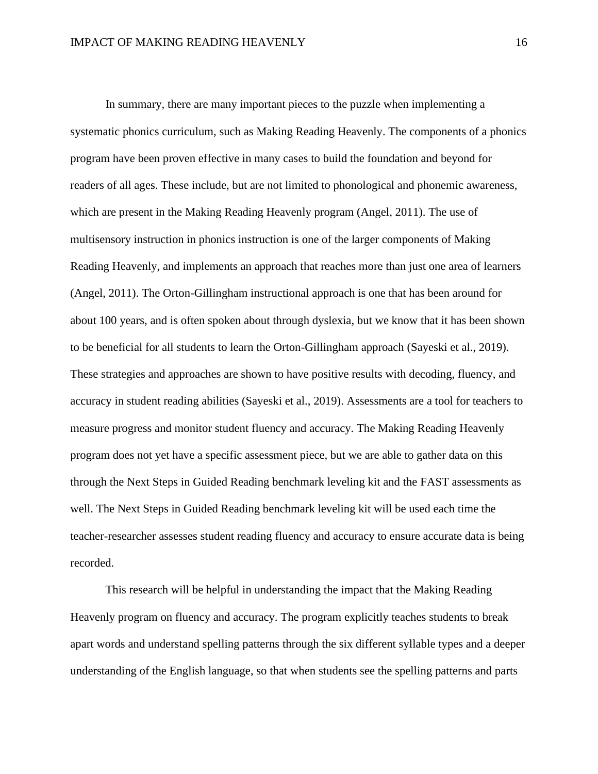In summary, there are many important pieces to the puzzle when implementing a systematic phonics curriculum, such as Making Reading Heavenly. The components of a phonics program have been proven effective in many cases to build the foundation and beyond for readers of all ages. These include, but are not limited to phonological and phonemic awareness, which are present in the Making Reading Heavenly program (Angel, 2011). The use of multisensory instruction in phonics instruction is one of the larger components of Making Reading Heavenly, and implements an approach that reaches more than just one area of learners (Angel, 2011). The Orton-Gillingham instructional approach is one that has been around for about 100 years, and is often spoken about through dyslexia, but we know that it has been shown to be beneficial for all students to learn the Orton-Gillingham approach (Sayeski et al., 2019). These strategies and approaches are shown to have positive results with decoding, fluency, and accuracy in student reading abilities (Sayeski et al., 2019). Assessments are a tool for teachers to measure progress and monitor student fluency and accuracy. The Making Reading Heavenly program does not yet have a specific assessment piece, but we are able to gather data on this through the Next Steps in Guided Reading benchmark leveling kit and the FAST assessments as well. The Next Steps in Guided Reading benchmark leveling kit will be used each time the teacher-researcher assesses student reading fluency and accuracy to ensure accurate data is being recorded.

This research will be helpful in understanding the impact that the Making Reading Heavenly program on fluency and accuracy. The program explicitly teaches students to break apart words and understand spelling patterns through the six different syllable types and a deeper understanding of the English language, so that when students see the spelling patterns and parts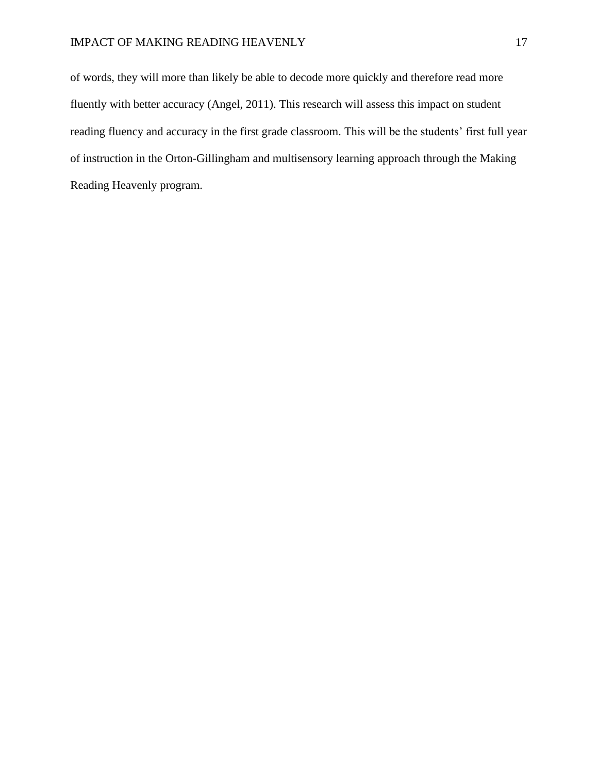of words, they will more than likely be able to decode more quickly and therefore read more fluently with better accuracy (Angel, 2011). This research will assess this impact on student reading fluency and accuracy in the first grade classroom. This will be the students' first full year of instruction in the Orton-Gillingham and multisensory learning approach through the Making Reading Heavenly program.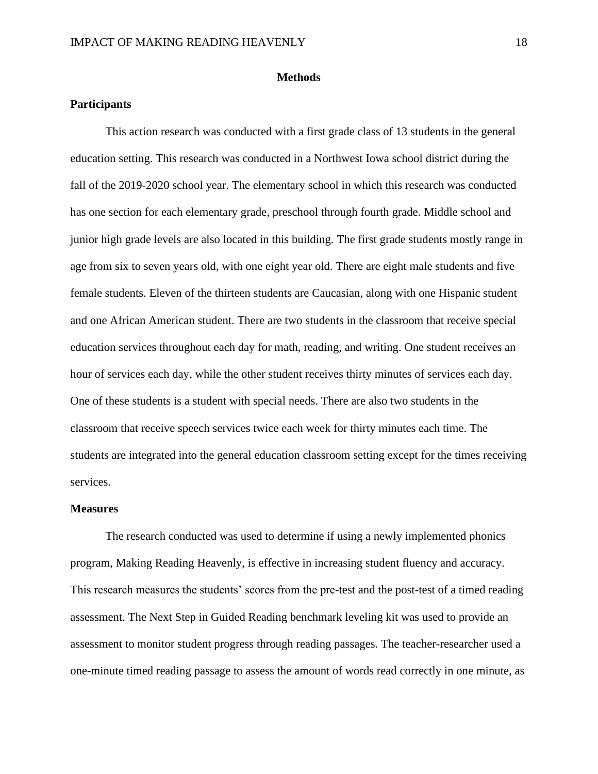#### **Methods**

## **Participants**

This action research was conducted with a first grade class of 13 students in the general education setting. This research was conducted in a Northwest Iowa school district during the fall of the 2019-2020 school year. The elementary school in which this research was conducted has one section for each elementary grade, preschool through fourth grade. Middle school and junior high grade levels are also located in this building. The first grade students mostly range in age from six to seven years old, with one eight year old. There are eight male students and five female students. Eleven of the thirteen students are Caucasian, along with one Hispanic student and one African American student. There are two students in the classroom that receive special education services throughout each day for math, reading, and writing. One student receives an hour of services each day, while the other student receives thirty minutes of services each day. One of these students is a student with special needs. There are also two students in the classroom that receive speech services twice each week for thirty minutes each time. The students are integrated into the general education classroom setting except for the times receiving services.

#### **Measures**

The research conducted was used to determine if using a newly implemented phonics program, Making Reading Heavenly, is effective in increasing student fluency and accuracy. This research measures the students' scores from the pre-test and the post-test of a timed reading assessment. The Next Step in Guided Reading benchmark leveling kit was used to provide an assessment to monitor student progress through reading passages. The teacher-researcher used a one-minute timed reading passage to assess the amount of words read correctly in one minute, as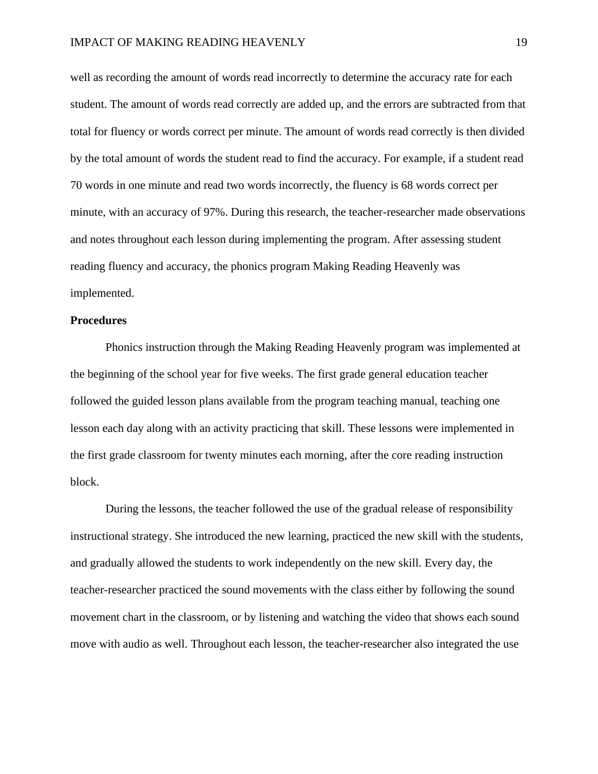well as recording the amount of words read incorrectly to determine the accuracy rate for each student. The amount of words read correctly are added up, and the errors are subtracted from that total for fluency or words correct per minute. The amount of words read correctly is then divided by the total amount of words the student read to find the accuracy. For example, if a student read 70 words in one minute and read two words incorrectly, the fluency is 68 words correct per minute, with an accuracy of 97%. During this research, the teacher-researcher made observations and notes throughout each lesson during implementing the program. After assessing student reading fluency and accuracy, the phonics program Making Reading Heavenly was implemented.

#### **Procedures**

Phonics instruction through the Making Reading Heavenly program was implemented at the beginning of the school year for five weeks. The first grade general education teacher followed the guided lesson plans available from the program teaching manual, teaching one lesson each day along with an activity practicing that skill. These lessons were implemented in the first grade classroom for twenty minutes each morning, after the core reading instruction block.

During the lessons, the teacher followed the use of the gradual release of responsibility instructional strategy. She introduced the new learning, practiced the new skill with the students, and gradually allowed the students to work independently on the new skill. Every day, the teacher-researcher practiced the sound movements with the class either by following the sound movement chart in the classroom, or by listening and watching the video that shows each sound move with audio as well. Throughout each lesson, the teacher-researcher also integrated the use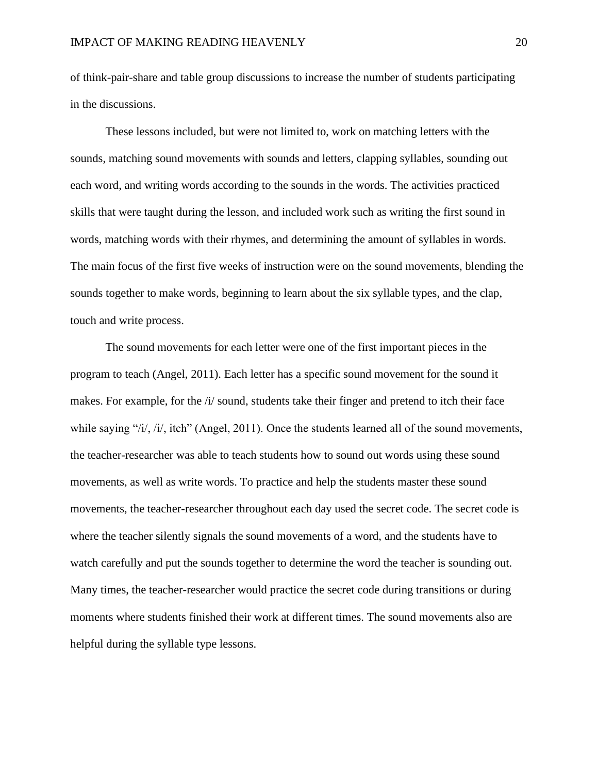of think-pair-share and table group discussions to increase the number of students participating in the discussions.

These lessons included, but were not limited to, work on matching letters with the sounds, matching sound movements with sounds and letters, clapping syllables, sounding out each word, and writing words according to the sounds in the words. The activities practiced skills that were taught during the lesson, and included work such as writing the first sound in words, matching words with their rhymes, and determining the amount of syllables in words. The main focus of the first five weeks of instruction were on the sound movements, blending the sounds together to make words, beginning to learn about the six syllable types, and the clap, touch and write process.

The sound movements for each letter were one of the first important pieces in the program to teach (Angel, 2011). Each letter has a specific sound movement for the sound it makes. For example, for the /i/ sound, students take their finger and pretend to itch their face while saying " $/i$ ,  $'i$ , itch" (Angel, 2011). Once the students learned all of the sound movements, the teacher-researcher was able to teach students how to sound out words using these sound movements, as well as write words. To practice and help the students master these sound movements, the teacher-researcher throughout each day used the secret code. The secret code is where the teacher silently signals the sound movements of a word, and the students have to watch carefully and put the sounds together to determine the word the teacher is sounding out. Many times, the teacher-researcher would practice the secret code during transitions or during moments where students finished their work at different times. The sound movements also are helpful during the syllable type lessons.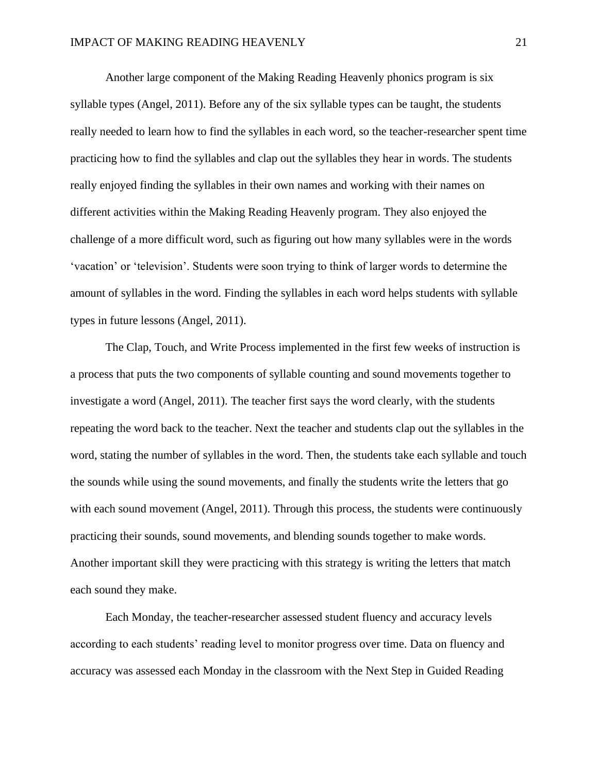Another large component of the Making Reading Heavenly phonics program is six syllable types (Angel, 2011). Before any of the six syllable types can be taught, the students really needed to learn how to find the syllables in each word, so the teacher-researcher spent time practicing how to find the syllables and clap out the syllables they hear in words. The students really enjoyed finding the syllables in their own names and working with their names on different activities within the Making Reading Heavenly program. They also enjoyed the challenge of a more difficult word, such as figuring out how many syllables were in the words 'vacation' or 'television'. Students were soon trying to think of larger words to determine the amount of syllables in the word. Finding the syllables in each word helps students with syllable types in future lessons (Angel, 2011).

The Clap, Touch, and Write Process implemented in the first few weeks of instruction is a process that puts the two components of syllable counting and sound movements together to investigate a word (Angel, 2011). The teacher first says the word clearly, with the students repeating the word back to the teacher. Next the teacher and students clap out the syllables in the word, stating the number of syllables in the word. Then, the students take each syllable and touch the sounds while using the sound movements, and finally the students write the letters that go with each sound movement (Angel, 2011). Through this process, the students were continuously practicing their sounds, sound movements, and blending sounds together to make words. Another important skill they were practicing with this strategy is writing the letters that match each sound they make.

Each Monday, the teacher-researcher assessed student fluency and accuracy levels according to each students' reading level to monitor progress over time. Data on fluency and accuracy was assessed each Monday in the classroom with the Next Step in Guided Reading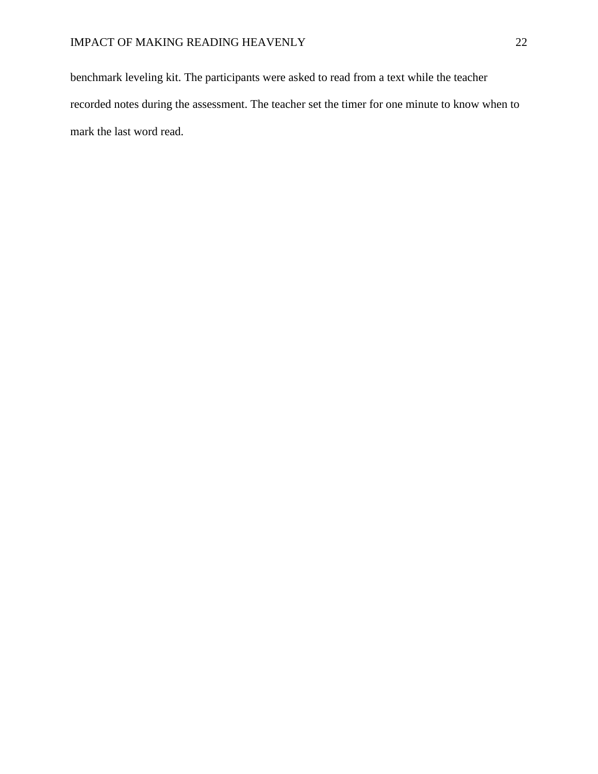benchmark leveling kit. The participants were asked to read from a text while the teacher recorded notes during the assessment. The teacher set the timer for one minute to know when to mark the last word read.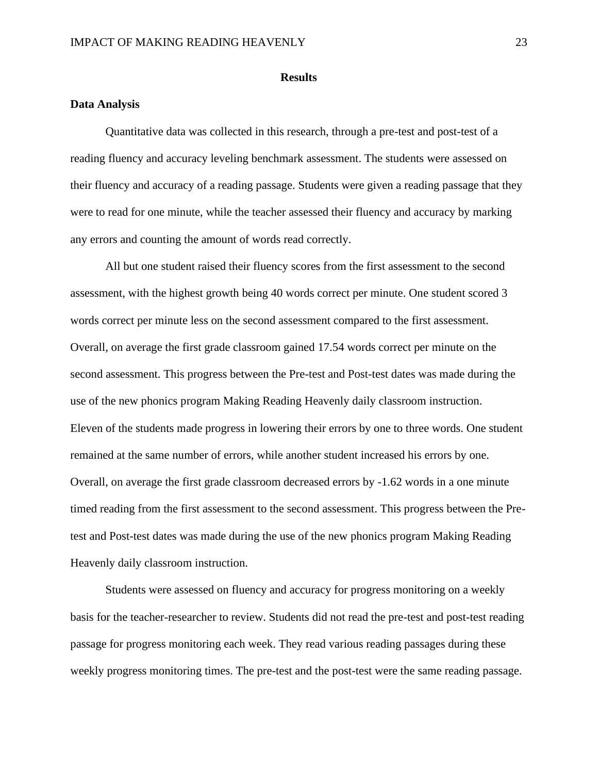#### **Results**

## **Data Analysis**

Quantitative data was collected in this research, through a pre-test and post-test of a reading fluency and accuracy leveling benchmark assessment. The students were assessed on their fluency and accuracy of a reading passage. Students were given a reading passage that they were to read for one minute, while the teacher assessed their fluency and accuracy by marking any errors and counting the amount of words read correctly.

All but one student raised their fluency scores from the first assessment to the second assessment, with the highest growth being 40 words correct per minute. One student scored 3 words correct per minute less on the second assessment compared to the first assessment. Overall, on average the first grade classroom gained 17.54 words correct per minute on the second assessment. This progress between the Pre-test and Post-test dates was made during the use of the new phonics program Making Reading Heavenly daily classroom instruction. Eleven of the students made progress in lowering their errors by one to three words. One student remained at the same number of errors, while another student increased his errors by one. Overall, on average the first grade classroom decreased errors by -1.62 words in a one minute timed reading from the first assessment to the second assessment. This progress between the Pretest and Post-test dates was made during the use of the new phonics program Making Reading Heavenly daily classroom instruction.

Students were assessed on fluency and accuracy for progress monitoring on a weekly basis for the teacher-researcher to review. Students did not read the pre-test and post-test reading passage for progress monitoring each week. They read various reading passages during these weekly progress monitoring times. The pre-test and the post-test were the same reading passage.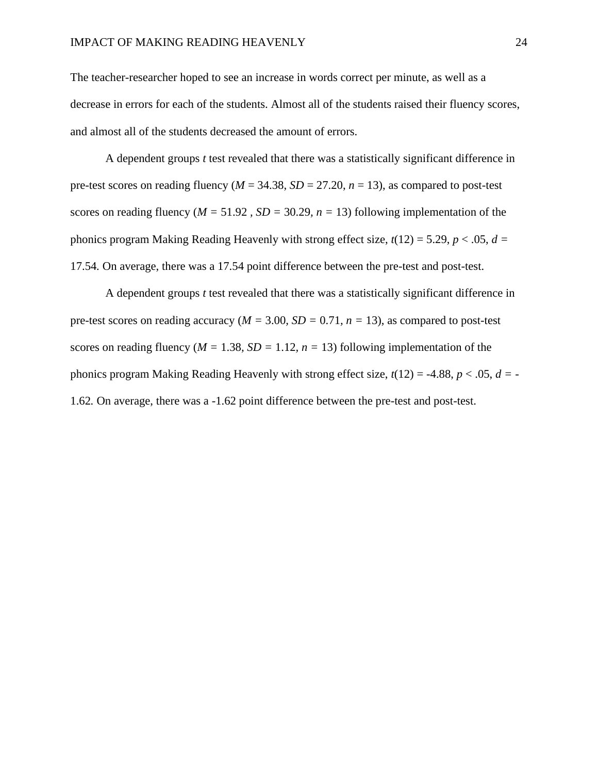The teacher-researcher hoped to see an increase in words correct per minute, as well as a decrease in errors for each of the students. Almost all of the students raised their fluency scores, and almost all of the students decreased the amount of errors.

A dependent groups *t* test revealed that there was a statistically significant difference in pre-test scores on reading fluency ( $M = 34.38$ ,  $SD = 27.20$ ,  $n = 13$ ), as compared to post-test scores on reading fluency ( $M = 51.92$ ,  $SD = 30.29$ ,  $n = 13$ ) following implementation of the phonics program Making Reading Heavenly with strong effect size,  $t(12) = 5.29$ ,  $p < .05$ ,  $d =$ 17.54*.* On average, there was a 17.54 point difference between the pre-test and post-test.

A dependent groups *t* test revealed that there was a statistically significant difference in pre-test scores on reading accuracy ( $M = 3.00$ ,  $SD = 0.71$ ,  $n = 13$ ), as compared to post-test scores on reading fluency ( $M = 1.38$ ,  $SD = 1.12$ ,  $n = 13$ ) following implementation of the phonics program Making Reading Heavenly with strong effect size, *t*(12) = -4.88, *p* < .05, *d =* - 1.62*.* On average, there was a -1.62 point difference between the pre-test and post-test.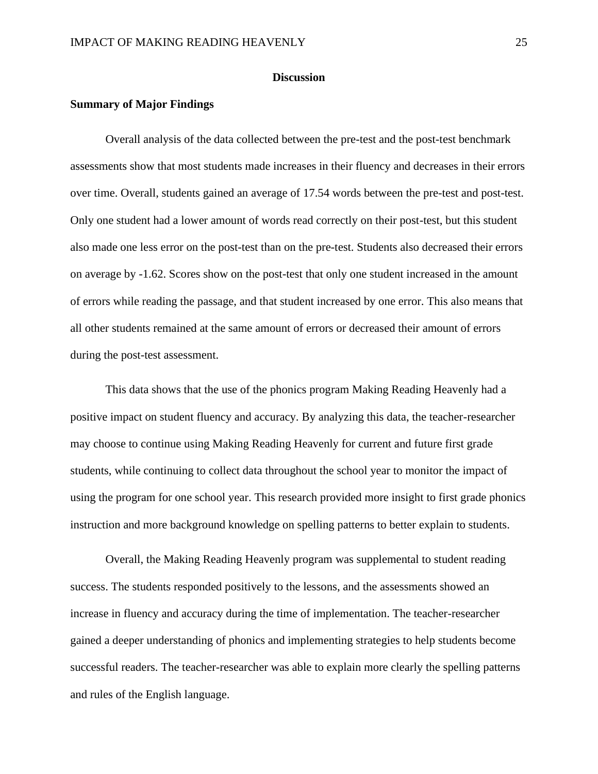#### **Discussion**

## **Summary of Major Findings**

Overall analysis of the data collected between the pre-test and the post-test benchmark assessments show that most students made increases in their fluency and decreases in their errors over time. Overall, students gained an average of 17.54 words between the pre-test and post-test. Only one student had a lower amount of words read correctly on their post-test, but this student also made one less error on the post-test than on the pre-test. Students also decreased their errors on average by -1.62. Scores show on the post-test that only one student increased in the amount of errors while reading the passage, and that student increased by one error. This also means that all other students remained at the same amount of errors or decreased their amount of errors during the post-test assessment.

This data shows that the use of the phonics program Making Reading Heavenly had a positive impact on student fluency and accuracy. By analyzing this data, the teacher-researcher may choose to continue using Making Reading Heavenly for current and future first grade students, while continuing to collect data throughout the school year to monitor the impact of using the program for one school year. This research provided more insight to first grade phonics instruction and more background knowledge on spelling patterns to better explain to students.

Overall, the Making Reading Heavenly program was supplemental to student reading success. The students responded positively to the lessons, and the assessments showed an increase in fluency and accuracy during the time of implementation. The teacher-researcher gained a deeper understanding of phonics and implementing strategies to help students become successful readers. The teacher-researcher was able to explain more clearly the spelling patterns and rules of the English language.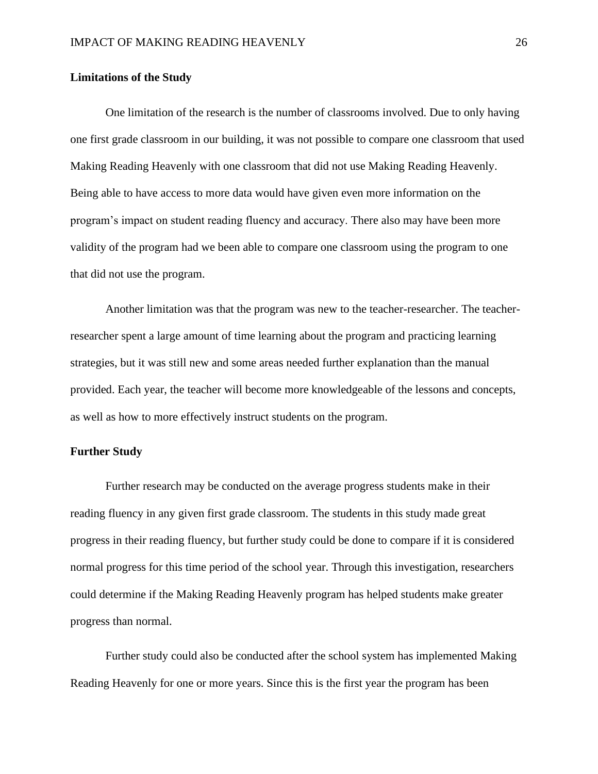## **Limitations of the Study**

One limitation of the research is the number of classrooms involved. Due to only having one first grade classroom in our building, it was not possible to compare one classroom that used Making Reading Heavenly with one classroom that did not use Making Reading Heavenly. Being able to have access to more data would have given even more information on the program's impact on student reading fluency and accuracy. There also may have been more validity of the program had we been able to compare one classroom using the program to one that did not use the program.

Another limitation was that the program was new to the teacher-researcher. The teacherresearcher spent a large amount of time learning about the program and practicing learning strategies, but it was still new and some areas needed further explanation than the manual provided. Each year, the teacher will become more knowledgeable of the lessons and concepts, as well as how to more effectively instruct students on the program.

## **Further Study**

Further research may be conducted on the average progress students make in their reading fluency in any given first grade classroom. The students in this study made great progress in their reading fluency, but further study could be done to compare if it is considered normal progress for this time period of the school year. Through this investigation, researchers could determine if the Making Reading Heavenly program has helped students make greater progress than normal.

Further study could also be conducted after the school system has implemented Making Reading Heavenly for one or more years. Since this is the first year the program has been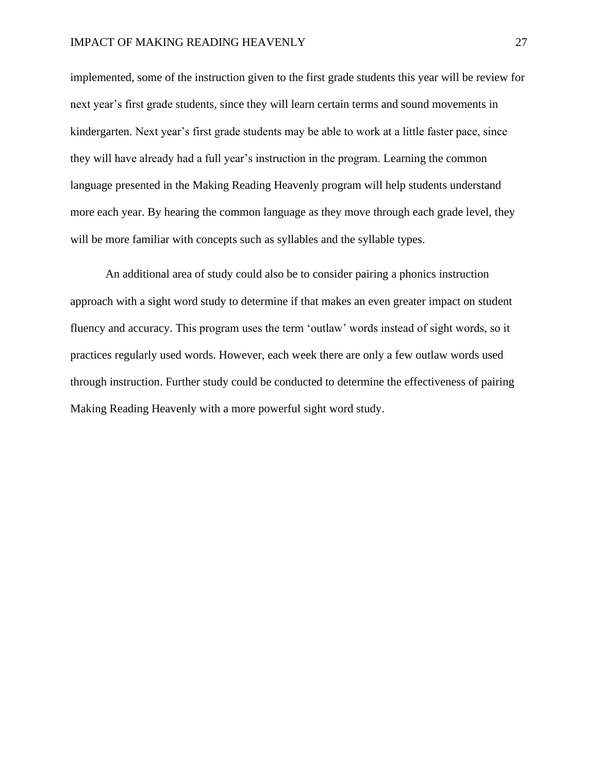implemented, some of the instruction given to the first grade students this year will be review for next year's first grade students, since they will learn certain terms and sound movements in kindergarten. Next year's first grade students may be able to work at a little faster pace, since they will have already had a full year's instruction in the program. Learning the common language presented in the Making Reading Heavenly program will help students understand more each year. By hearing the common language as they move through each grade level, they will be more familiar with concepts such as syllables and the syllable types.

An additional area of study could also be to consider pairing a phonics instruction approach with a sight word study to determine if that makes an even greater impact on student fluency and accuracy. This program uses the term 'outlaw' words instead of sight words, so it practices regularly used words. However, each week there are only a few outlaw words used through instruction. Further study could be conducted to determine the effectiveness of pairing Making Reading Heavenly with a more powerful sight word study.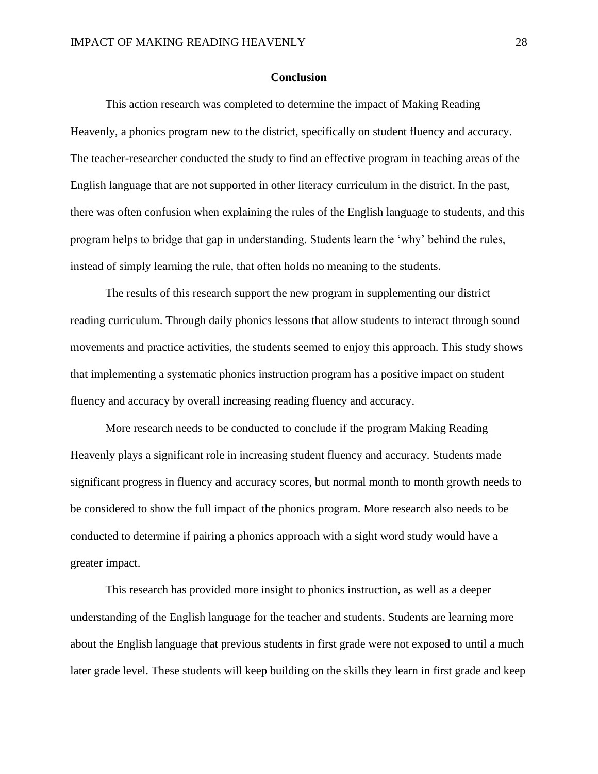#### **Conclusion**

This action research was completed to determine the impact of Making Reading Heavenly, a phonics program new to the district, specifically on student fluency and accuracy. The teacher-researcher conducted the study to find an effective program in teaching areas of the English language that are not supported in other literacy curriculum in the district. In the past, there was often confusion when explaining the rules of the English language to students, and this program helps to bridge that gap in understanding. Students learn the 'why' behind the rules, instead of simply learning the rule, that often holds no meaning to the students.

The results of this research support the new program in supplementing our district reading curriculum. Through daily phonics lessons that allow students to interact through sound movements and practice activities, the students seemed to enjoy this approach. This study shows that implementing a systematic phonics instruction program has a positive impact on student fluency and accuracy by overall increasing reading fluency and accuracy.

More research needs to be conducted to conclude if the program Making Reading Heavenly plays a significant role in increasing student fluency and accuracy. Students made significant progress in fluency and accuracy scores, but normal month to month growth needs to be considered to show the full impact of the phonics program. More research also needs to be conducted to determine if pairing a phonics approach with a sight word study would have a greater impact.

This research has provided more insight to phonics instruction, as well as a deeper understanding of the English language for the teacher and students. Students are learning more about the English language that previous students in first grade were not exposed to until a much later grade level. These students will keep building on the skills they learn in first grade and keep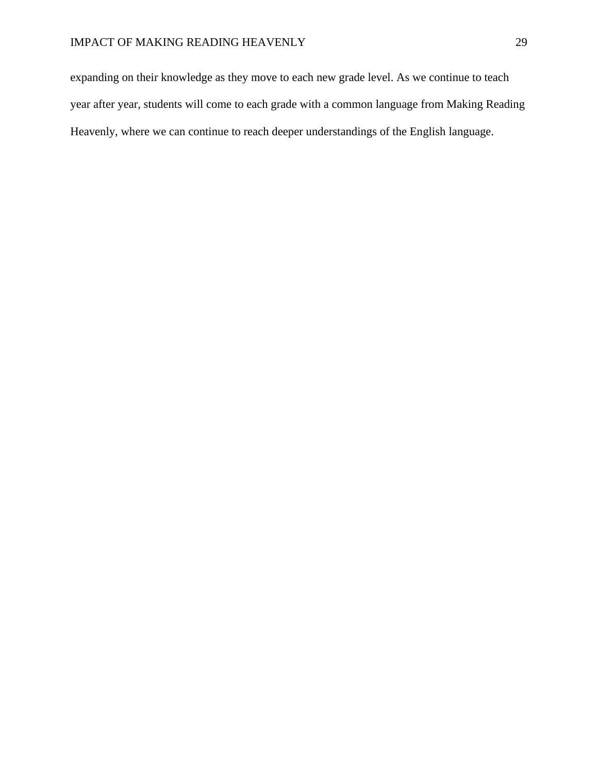expanding on their knowledge as they move to each new grade level. As we continue to teach year after year, students will come to each grade with a common language from Making Reading Heavenly, where we can continue to reach deeper understandings of the English language.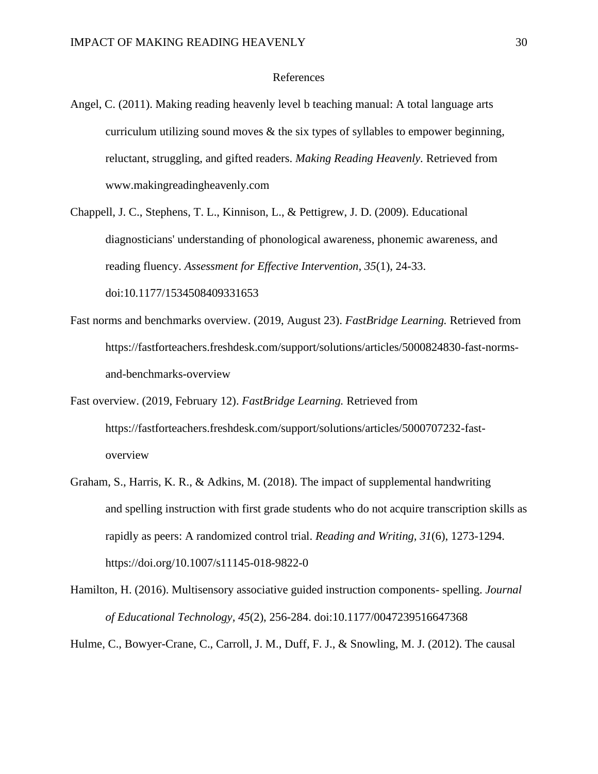#### References

- Angel, C. (2011). Making reading heavenly level b teaching manual: A total language arts curriculum utilizing sound moves  $\&$  the six types of syllables to empower beginning, reluctant, struggling, and gifted readers. *Making Reading Heavenly.* Retrieved from www.makingreadingheavenly.com
- Chappell, J. C., Stephens, T. L., Kinnison, L., & Pettigrew, J. D. (2009). Educational diagnosticians' understanding of phonological awareness, phonemic awareness, and reading fluency. *Assessment for Effective Intervention, 35*(1), 24-33. doi:10.1177/1534508409331653
- Fast norms and benchmarks overview. (2019, August 23). *FastBridge Learning.* Retrieved from https://fastforteachers.freshdesk.com/support/solutions/articles/5000824830-fast-normsand-benchmarks-overview
- Fast overview. (2019, February 12). *FastBridge Learning.* Retrieved from https://fastforteachers.freshdesk.com/support/solutions/articles/5000707232-fastoverview
- Graham, S., Harris, K. R., & Adkins, M. (2018). The impact of supplemental handwriting and spelling instruction with first grade students who do not acquire transcription skills as rapidly as peers: A randomized control trial. *Reading and Writing, 31*(6), 1273-1294. https://doi.org/10.1007/s11145-018-9822-0
- Hamilton, H. (2016). Multisensory associative guided instruction components- spelling. *Journal of Educational Technology, 45*(2), 256-284. doi:10.1177/0047239516647368

Hulme, C., Bowyer-Crane, C., Carroll, J. M., Duff, F. J., & Snowling, M. J. (2012). The causal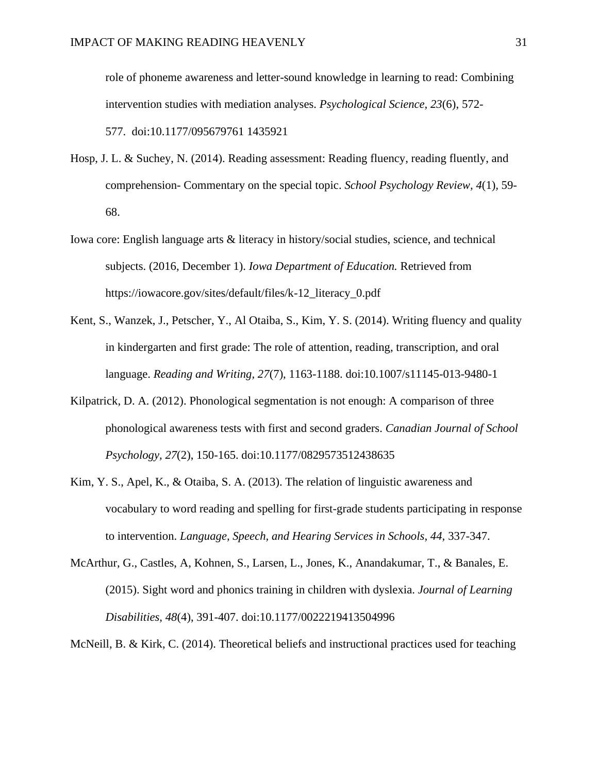role of phoneme awareness and letter-sound knowledge in learning to read: Combining intervention studies with mediation analyses. *Psychological Science, 23*(6), 572- 577. doi:10.1177/095679761 1435921

- Hosp, J. L. & Suchey, N. (2014). Reading assessment: Reading fluency, reading fluently, and comprehension- Commentary on the special topic. *School Psychology Review, 4*(1)*,* 59- 68.
- Iowa core: English language arts & literacy in history/social studies, science, and technical subjects. (2016, December 1). *Iowa Department of Education.* Retrieved from https://iowacore.gov/sites/default/files/k-12\_literacy\_0.pdf
- Kent, S., Wanzek, J., Petscher, Y., Al Otaiba, S., Kim, Y. S. (2014). Writing fluency and quality in kindergarten and first grade: The role of attention, reading, transcription, and oral language. *Reading and Writing, 27*(7), 1163-1188. doi:10.1007/s11145-013-9480-1
- Kilpatrick, D. A. (2012). Phonological segmentation is not enough: A comparison of three phonological awareness tests with first and second graders. *Canadian Journal of School Psychology, 27*(2), 150-165. doi:10.1177/0829573512438635
- Kim, Y. S., Apel, K., & Otaiba, S. A. (2013). The relation of linguistic awareness and vocabulary to word reading and spelling for first-grade students participating in response to intervention. *Language, Speech, and Hearing Services in Schools, 44,* 337-347.
- McArthur, G., Castles, A, Kohnen, S., Larsen, L., Jones, K., Anandakumar, T., & Banales, E. (2015). Sight word and phonics training in children with dyslexia. *Journal of Learning Disabilities, 48*(4), 391-407. doi:10.1177/0022219413504996

McNeill, B. & Kirk, C. (2014). Theoretical beliefs and instructional practices used for teaching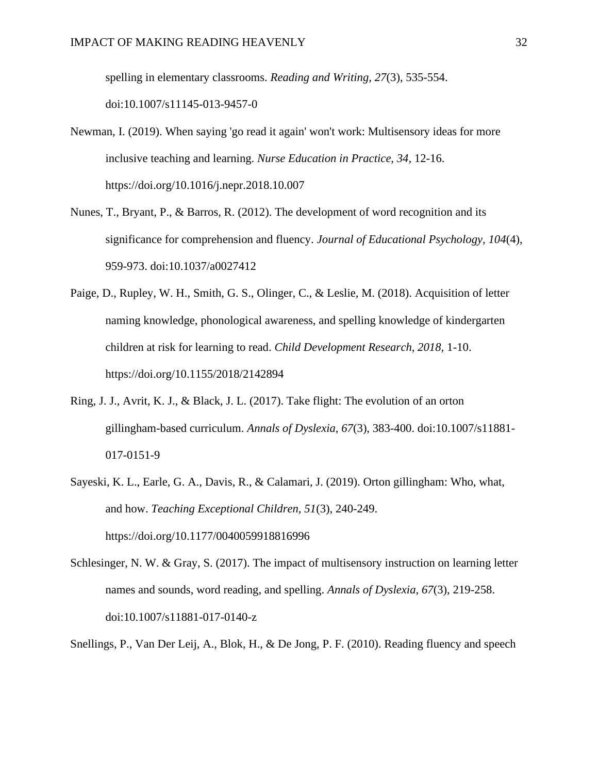spelling in elementary classrooms. *Reading and Writing, 27*(3), 535-554. doi:10.1007/s11145-013-9457-0

- Newman, I. (2019). When saying 'go read it again' won't work: Multisensory ideas for more inclusive teaching and learning. *Nurse Education in Practice, 34,* 12-16. https://doi.org/10.1016/j.nepr.2018.10.007
- Nunes, T., Bryant, P., & Barros, R. (2012). The development of word recognition and its significance for comprehension and fluency. *Journal of Educational Psychology, 104*(4), 959-973. doi:10.1037/a0027412
- Paige, D., Rupley, W. H., Smith, G. S., Olinger, C., & Leslie, M. (2018). Acquisition of letter naming knowledge, phonological awareness, and spelling knowledge of kindergarten children at risk for learning to read. *Child Development Research, 2018,* 1-10. https://doi.org/10.1155/2018/2142894
- Ring, J. J., Avrit, K. J., & Black, J. L. (2017). Take flight: The evolution of an orton gillingham-based curriculum. *Annals of Dyslexia, 67*(3), 383-400. doi:10.1007/s11881- 017-0151-9
- Sayeski, K. L., Earle, G. A., Davis, R., & Calamari, J. (2019). Orton gillingham: Who, what, and how. *Teaching Exceptional Children, 51*(3), 240-249. https://doi.org/10.1177/0040059918816996
- Schlesinger, N. W. & Gray, S. (2017). The impact of multisensory instruction on learning letter names and sounds, word reading, and spelling. *Annals of Dyslexia, 67*(3), 219-258. doi:10.1007/s11881-017-0140-z
- Snellings, P., Van Der Leij, A., Blok, H., & De Jong, P. F. (2010). Reading fluency and speech